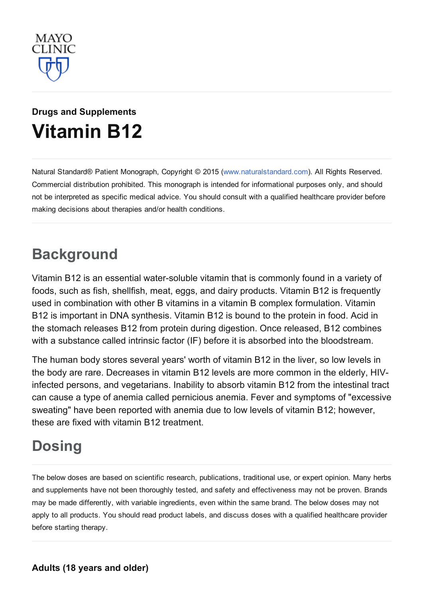

# Drugs and [Supplements](http://www.mayoclinic.org/drugs-supplements) [Vitamin](http://www.mayoclinic.org/drugs-supplements/vitamin-b12/background/hrb-20060243) B12

Natural Standard® Patient Monograph, Copyright © 2015 [\(www.naturalstandard.com](http://www.naturalstandard.com/)). All Rights Reserved. Commercial distribution prohibited. This monograph is intended for informational purposes only, and should not be interpreted as specific medical advice. You should consult with a qualified healthcare provider before making decisions about therapies and/or health conditions.

# **Background**

Vitamin B12 is an essential water-soluble vitamin that is commonly found in a variety of foods, such as fish, shellfish, meat, eggs, and dairy products. Vitamin B12 is frequently used in combination with other B vitamins in a vitamin B complex formulation. Vitamin B12 is important in DNA synthesis. Vitamin B12 is bound to the protein in food. Acid in the stomach releases B12 from protein during digestion. Once released, B12 combines with a substance called intrinsic factor (IF) before it is absorbed into the bloodstream.

The human body stores several years' worth of vitamin B12 in the liver, so low levels in the body are rare. Decreases in vitamin B12 levels are more common in the elderly, HIVinfected persons, and vegetarians. Inability to absorb vitamin B12 from the intestinal tract can cause a type of anemia called pernicious anemia. Fever and symptoms of "excessive sweating" have been reported with anemia due to low levels of vitamin B12; however, these are fixed with vitamin B12 treatment.

# **Dosing**

The below doses are based on scientific research, publications, traditional use, or expert opinion. Many herbs and supplements have not been thoroughly tested, and safety and effectiveness may not be proven. Brands may be made differently, with variable ingredients, even within the same brand. The below doses may not apply to all products. You should read product labels, and discuss doses with a qualified healthcare provider before starting therapy.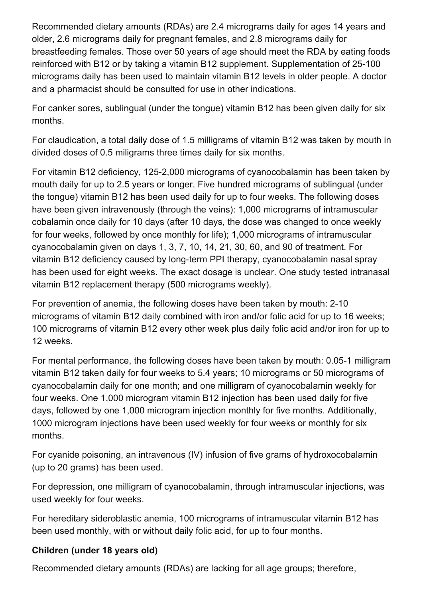Recommended dietary amounts (RDAs) are 2.4 micrograms daily for ages 14 years and older, 2.6 micrograms daily for pregnant females, and 2.8 micrograms daily for breastfeeding females. Those over 50 years of age should meet the RDA by eating foods reinforced with B12 or by taking a vitamin B12 supplement. Supplementation of 25-100 micrograms daily has been used to maintain vitamin B12 levels in older people. A doctor and a pharmacist should be consulted for use in other indications.

For canker sores, sublingual (under the tongue) vitamin B12 has been given daily for six months.

For claudication, a total daily dose of 1.5 milligrams of vitamin B12 was taken by mouth in divided doses of 0.5 miligrams three times daily for six months.

For vitamin B12 deficiency, 125-2,000 micrograms of cyanocobalamin has been taken by mouth daily for up to 2.5 years or longer. Five hundred micrograms of sublingual (under the tongue) vitamin B12 has been used daily for up to four weeks. The following doses have been given intravenously (through the veins): 1,000 micrograms of intramuscular cobalamin once daily for 10 days (after 10 days, the dose was changed to once weekly for four weeks, followed by once monthly for life); 1,000 micrograms of intramuscular cyanocobalamin given on days 1, 3, 7, 10, 14, 21, 30, 60, and 90 of treatment. For vitamin B12 deficiency caused by long-term PPI therapy, cyanocobalamin nasal spray has been used for eight weeks. The exact dosage is unclear. One study tested intranasal vitamin B12 replacement therapy (500 micrograms weekly).

For prevention of anemia, the following doses have been taken by mouth: 2-10 micrograms of vitamin B12 daily combined with iron and/or folic acid for up to 16 weeks; 100 micrograms of vitamin B12 every other week plus daily folic acid and/or iron for up to 12 weeks.

For mental performance, the following doses have been taken by mouth: 0.05-1 milligram vitamin B12 taken daily for four weeks to 5.4 years; 10 micrograms or 50 micrograms of cyanocobalamin daily for one month; and one milligram of cyanocobalamin weekly for four weeks. One 1,000 microgram vitamin B12 injection has been used daily for five days, followed by one 1,000 microgram injection monthly for five months. Additionally, 1000 microgram injections have been used weekly for four weeks or monthly for six months.

For cyanide poisoning, an intravenous (IV) infusion of five grams of hydroxocobalamin (up to 20 grams) has been used.

For depression, one milligram of cyanocobalamin, through intramuscular injections, was used weekly for four weeks.

For hereditary sideroblastic anemia, 100 micrograms of intramuscular vitamin B12 has been used monthly, with or without daily folic acid, for up to four months.

#### Children (under 18 years old)

Recommended dietary amounts (RDAs) are lacking for all age groups; therefore,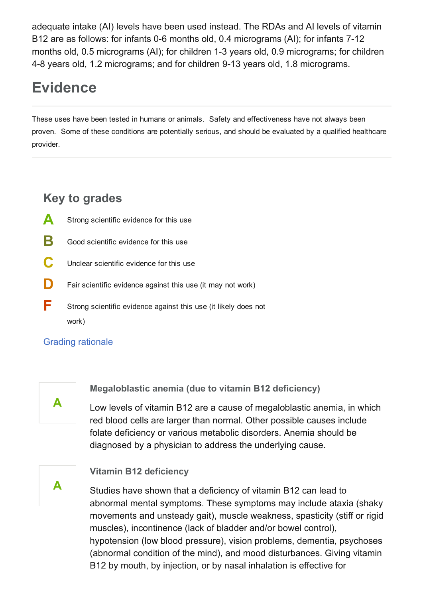adequate intake (AI) levels have been used instead. The RDAs and AI levels of vitamin B12 are as follows: for infants 0-6 months old, 0.4 micrograms (AI); for infants 7-12 months old, 0.5 micrograms (AI); for children 1-3 years old, 0.9 micrograms; for children 4-8 years old, 1.2 micrograms; and for children 9-13 years old, 1.8 micrograms.

# **Evidence**

These uses have been tested in humans or animals. Safety and effectiveness have not always been proven. Some of these conditions are potentially serious, and should be evaluated by a qualified healthcare provider.

## Key to grades

- **A** Strong scientific evidence for this use
- $\mathbf{B}$  Good scientific evidence for this use
- $\mathbf C$  Unclear scientific evidence for this use
- **D** Fair scientific evidence against this use (it may not work)
- **F** Strong scientific evidence against this use (it likely does not work)

#### Grading [rationale](http://www.mayoclinic.org/drugs-supplements/grading-rationale)



Megaloblastic anemia (due to vitamin B12 deficiency)

Low levels of vitamin B12 are a cause of megaloblastic anemia, in which red blood cells are larger than normal. Other possible causes include folate deficiency or various metabolic disorders. Anemia should be diagnosed by a physician to address the underlying cause.



#### Vitamin B12 deficiency

Studies have shown that a deficiency of vitamin B12 can lead to abnormal mental symptoms. These symptoms may include ataxia (shaky movements and unsteady gait), muscle weakness, spasticity (stiff or rigid muscles), incontinence (lack of bladder and/or bowel control), hypotension (low blood pressure), vision problems, dementia, psychoses (abnormal condition of the mind), and mood disturbances. Giving vitamin B12 by mouth, by injection, or by nasal inhalation is effective for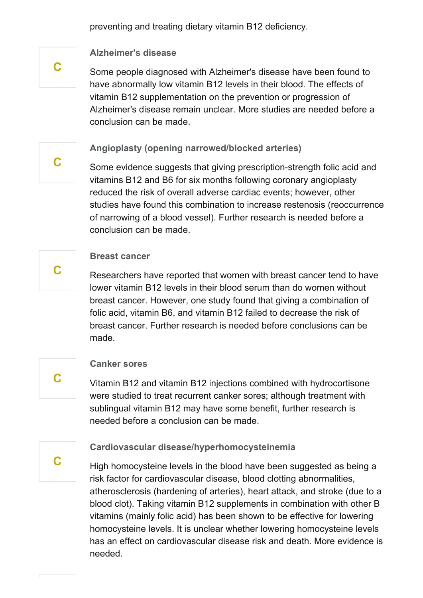preventing and treating dietary vitamin B12 deficiency.

#### Alzheimer's disease

Some people diagnosed with Alzheimer's disease have been found to have abnormally low vitamin B12 levels in their blood. The effects of vitamin B12 supplementation on the prevention or progression of Alzheimer's disease remain unclear. More studies are needed before a conclusion can be made.

#### Angioplasty (opening narrowed/blocked arteries)

Some evidence suggests that giving prescription-strength folic acid and vitamins B12 and B6 for six months following coronary angioplasty reduced the risk of overall adverse cardiac events; however, other studies have found this combination to increase restenosis (reoccurrence of narrowing of a blood vessel). Further research is needed before a conclusion can be made.

#### Breast cancer

Researchers have reported that women with breast cancer tend to have lower vitamin B12 levels in their blood serum than do women without breast cancer. However, one study found that giving a combination of folic acid, vitamin B6, and vitamin B12 failed to decrease the risk of breast cancer. Further research is needed before conclusions can be made.

#### Canker sores

Vitamin B12 and vitamin B12 injections combined with hydrocortisone were studied to treat recurrent canker sores; although treatment with sublingual vitamin B12 may have some benefit, further research is needed before a conclusion can be made.

#### Cardiovascular disease/hyperhomocysteinemia

High homocysteine levels in the blood have been suggested as being a risk factor for cardiovascular disease, blood clotting abnormalities, atherosclerosis (hardening of arteries), heart attack, and stroke (due to a blood clot). Taking vitamin B12 supplements in combination with other B vitamins (mainly folic acid) has been shown to be effective for lowering homocysteine levels. It is unclear whether lowering homocysteine levels has an effect on cardiovascular disease risk and death. More evidence is needed.

C

C

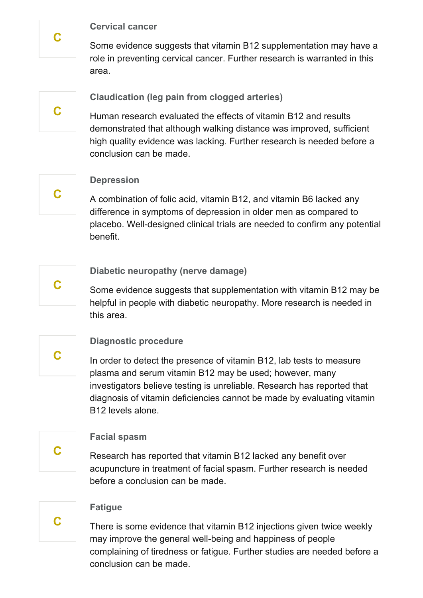#### Cervical cancer

Some evidence suggests that vitamin B12 supplementation may have a role in preventing cervical cancer. Further research is warranted in this area.

# C

Claudication (leg pain from clogged arteries)

Human research evaluated the effects of vitamin B12 and results demonstrated that although walking distance was improved, sufficient high quality evidence was lacking. Further research is needed before a conclusion can be made.



C

C

#### Depression

A combination of folic acid, vitamin B12, and vitamin B6 lacked any difference in symptoms of depression in older men as compared to placebo. Well-designed clinical trials are needed to confirm any potential benefit.



Some evidence suggests that supplementation with vitamin B12 may be helpful in people with diabetic neuropathy. More research is needed in this area.

## Diagnostic procedure

In order to detect the presence of vitamin B12, lab tests to measure plasma and serum vitamin B12 may be used; however, many investigators believe testing is unreliable. Research has reported that diagnosis of vitamin deficiencies cannot be made by evaluating vitamin B12 levels alone.



Facial spasm

Research has reported that vitamin B12 lacked any benefit over acupuncture in treatment of facial spasm. Further research is needed before a conclusion can be made.



C

#### Fatigue

There is some evidence that vitamin B12 injections given twice weekly may improve the general well-being and happiness of people complaining of tiredness or fatigue. Further studies are needed before a conclusion can be made.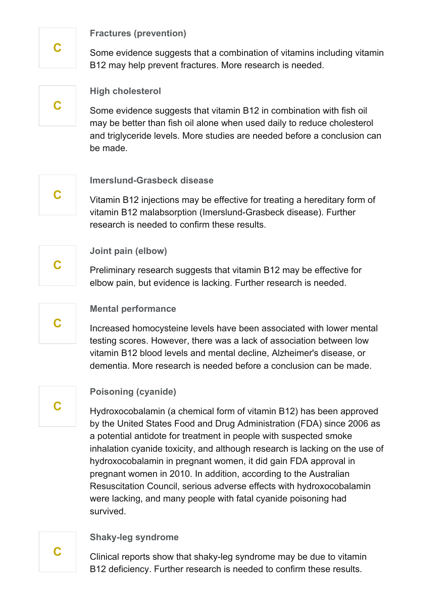

#### Fractures (prevention)

Some evidence suggests that a combination of vitamins including vitamin B12 may help prevent fractures. More research is needed.



#### High cholesterol

Some evidence suggests that vitamin B12 in combination with fish oil may be better than fish oil alone when used daily to reduce cholesterol and triglyceride levels. More studies are needed before a conclusion can be made.



C

C

#### Imerslund-Grasbeck disease

Vitamin B12 injections may be effective for treating a hereditary form of vitamin B12 malabsorption (Imerslund-Grasbeck disease). Further research is needed to confirm these results.



Preliminary research suggests that vitamin B12 may be effective for elbow pain, but evidence is lacking. Further research is needed.

#### Mental performance

Increased homocysteine levels have been associated with lower mental testing scores. However, there was a lack of association between low vitamin B12 blood levels and mental decline, Alzheimer's disease, or dementia. More research is needed before a conclusion can be made.



#### Poisoning (cyanide)

Hydroxocobalamin (a chemical form of vitamin B12) has been approved by the United States Food and Drug Administration (FDA) since 2006 as a potential antidote for treatment in people with suspected smoke inhalation cyanide toxicity, and although research is lacking on the use of hydroxocobalamin in pregnant women, it did gain FDA approval in pregnant women in 2010. In addition, according to the Australian Resuscitation Council, serious adverse effects with hydroxocobalamin were lacking, and many people with fatal cyanide poisoning had survived.

#### Shaky-leg syndrome

Clinical reports show that shaky-leg syndrome may be due to vitamin B12 deficiency. Further research is needed to confirm these results.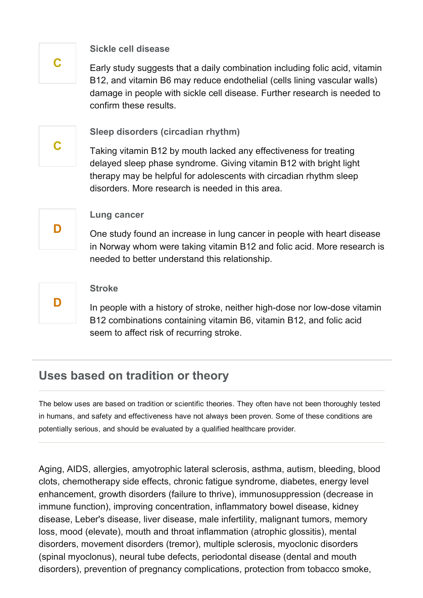Sickle cell disease

Early study suggests that a daily combination including folic acid, vitamin B12, and vitamin B6 may reduce endothelial (cells lining vascular walls) damage in people with sickle cell disease. Further research is needed to confirm these results.



Sleep disorders (circadian rhythm)

Taking vitamin B12 by mouth lacked any effectiveness for treating delayed sleep phase syndrome. Giving vitamin B12 with bright light therapy may be helpful for adolescents with circadian rhythm sleep disorders. More research is needed in this area.



#### Lung cancer

One study found an increase in lung cancer in people with heart disease in Norway whom were taking vitamin B12 and folic acid. More research is needed to better understand this relationship.



#### **Stroke**

In people with a history of stroke, neither high-dose nor low-dose vitamin B12 combinations containing vitamin B6, vitamin B12, and folic acid seem to affect risk of recurring stroke.

## Uses based on tradition or theory

The below uses are based on tradition or scientific theories. They often have not been thoroughly tested in humans, and safety and effectiveness have not always been proven. Some of these conditions are potentially serious, and should be evaluated by a qualified healthcare provider.

Aging, AIDS, allergies, amyotrophic lateral sclerosis, asthma, autism, bleeding, blood clots, chemotherapy side effects, chronic fatigue syndrome, diabetes, energy level enhancement, growth disorders (failure to thrive), immunosuppression (decrease in immune function), improving concentration, inflammatory bowel disease, kidney disease, Leber's disease, liver disease, male infertility, malignant tumors, memory loss, mood (elevate), mouth and throat inflammation (atrophic glossitis), mental disorders, movement disorders (tremor), multiple sclerosis, myoclonic disorders (spinal myoclonus), neural tube defects, periodontal disease (dental and mouth disorders), prevention of pregnancy complications, protection from tobacco smoke,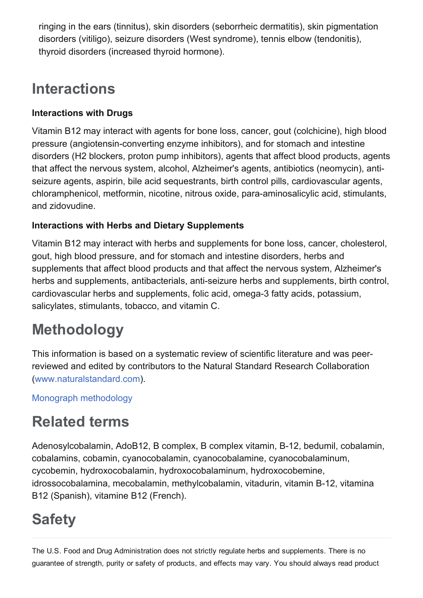ringing in the ears (tinnitus), skin disorders (seborrheic dermatitis), skin pigmentation disorders (vitiligo), seizure disorders (West syndrome), tennis elbow (tendonitis), thyroid disorders (increased thyroid hormone).

# Interactions

## Interactions with Drugs

Vitamin B12 may interact with agents for bone loss, cancer, gout (colchicine), high blood pressure (angiotensin-converting enzyme inhibitors), and for stomach and intestine disorders (H2 blockers, proton pump inhibitors), agents that affect blood products, agents that affect the nervous system, alcohol, Alzheimer's agents, antibiotics (neomycin), antiseizure agents, aspirin, bile acid sequestrants, birth control pills, cardiovascular agents, chloramphenicol, metformin, nicotine, nitrous oxide, para-aminosalicylic acid, stimulants, and zidovudine.

## Interactions with Herbs and Dietary Supplements

Vitamin B12 may interact with herbs and supplements for bone loss, cancer, cholesterol, gout, high blood pressure, and for stomach and intestine disorders, herbs and supplements that affect blood products and that affect the nervous system, Alzheimer's herbs and supplements, antibacterials, anti-seizure herbs and supplements, birth control, cardiovascular herbs and supplements, folic acid, omega-3 fatty acids, potassium, salicylates, stimulants, tobacco, and vitamin C.

# Methodology

This information is based on a systematic review of scientific literature and was peerreviewed and edited by contributors to the Natural Standard Research Collaboration [\(www.naturalstandard.com\)](http://www.naturalstandard.com/).

Monograph [methodology](http://www.mayoclinic.org/drugs-supplements/vitamin-b12/evidence/~/link.aspx?_id=544A2CC2284747E4AE7FEDA9238F7C96&_z=z)

# Related terms

Adenosylcobalamin, AdoB12, B complex, B complex vitamin, B12, bedumil, cobalamin, cobalamins, cobamin, cyanocobalamin, cyanocobalamine, cyanocobalaminum, cycobemin, hydroxocobalamin, hydroxocobalaminum, hydroxocobemine, idrossocobalamina, mecobalamin, methylcobalamin, vitadurin, vitamin B-12, vitamina B12 (Spanish), vitamine B12 (French).

# **Safety**

The U.S. Food and Drug Administration does not strictly regulate herbs and supplements. There is no guarantee of strength, purity or safety of products, and effects may vary. You should always read product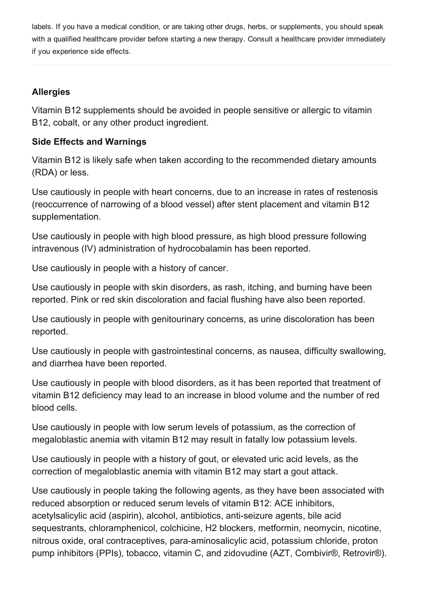labels. If you have a medical condition, or are taking other drugs, herbs, or supplements, you should speak with a qualified healthcare provider before starting a new therapy. Consult a healthcare provider immediately if you experience side effects.

### Allergies

Vitamin B12 supplements should be avoided in people sensitive or allergic to vitamin B12, cobalt, or any other product ingredient.

## Side Effects and Warnings

Vitamin B12 is likely safe when taken according to the recommended dietary amounts (RDA) or less.

Use cautiously in people with heart concerns, due to an increase in rates of restenosis (reoccurrence of narrowing of a blood vessel) after stent placement and vitamin B12 supplementation.

Use cautiously in people with high blood pressure, as high blood pressure following intravenous (IV) administration of hydrocobalamin has been reported.

Use cautiously in people with a history of cancer.

Use cautiously in people with skin disorders, as rash, itching, and burning have been reported. Pink or red skin discoloration and facial flushing have also been reported.

Use cautiously in people with genitourinary concerns, as urine discoloration has been reported.

Use cautiously in people with gastrointestinal concerns, as nausea, difficulty swallowing, and diarrhea have been reported.

Use cautiously in people with blood disorders, as it has been reported that treatment of vitamin B12 deficiency may lead to an increase in blood volume and the number of red blood cells.

Use cautiously in people with low serum levels of potassium, as the correction of megaloblastic anemia with vitamin B12 may result in fatally low potassium levels.

Use cautiously in people with a history of gout, or elevated uric acid levels, as the correction of megaloblastic anemia with vitamin B12 may start a gout attack.

Use cautiously in people taking the following agents, as they have been associated with reduced absorption or reduced serum levels of vitamin B12: ACE inhibitors, acetylsalicylic acid (aspirin), alcohol, antibiotics, anti-seizure agents, bile acid sequestrants, chloramphenicol, colchicine, H2 blockers, metformin, neomycin, nicotine, nitrous oxide, oral contraceptives, para-aminosalicylic acid, potassium chloride, proton pump inhibitors (PPIs), tobacco, vitamin C, and zidovudine (AZT, Combivir®, Retrovir®).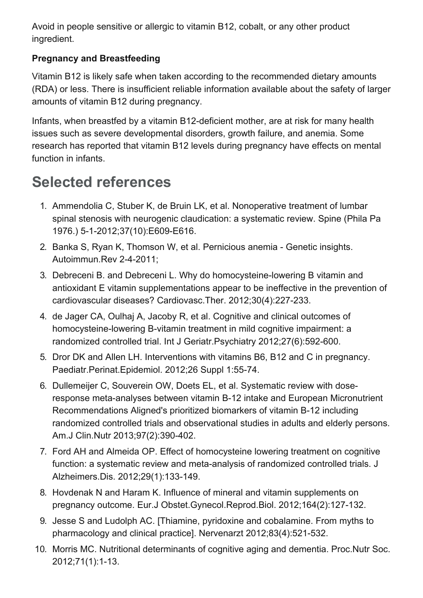Avoid in people sensitive or allergic to vitamin B12, cobalt, or any other product ingredient.

## Pregnancy and Breastfeeding

Vitamin B12 is likely safe when taken according to the recommended dietary amounts (RDA) or less. There is insufficient reliable information available about the safety of larger amounts of vitamin B12 during pregnancy.

Infants, when breastfed by a vitamin B12-deficient mother, are at risk for many health issues such as severe developmental disorders, growth failure, and anemia. Some research has reported that vitamin B12 levels during pregnancy have effects on mental function in infants.

# Selected references

- 1. Ammendolia C, Stuber K, de Bruin LK, et al. Nonoperative treatment of lumbar spinal stenosis with neurogenic claudication: a systematic review. Spine (Phila Pa 1976.) 5-1-2012;37(10):E609-E616.
- 2. Banka S, Ryan K, Thomson W, et al. Pernicious anemia Genetic insights. Autoimmun.Rev 2-4-2011;
- 3. Debreceni B. and Debreceni L. Why do homocysteine-lowering B vitamin and antioxidant E vitamin supplementations appear to be ineffective in the prevention of cardiovascular diseases? Cardiovasc.Ther. 2012;30(4):227-233.
- 4. de Jager CA, Oulhaj A, Jacoby R, et al. Cognitive and clinical outcomes of homocysteine-lowering B-vitamin treatment in mild cognitive impairment: a randomized controlled trial. Int J Geriatr. Psychiatry 2012;27(6):592-600.
- 5. Dror DK and Allen LH. Interventions with vitamins B6, B12 and C in pregnancy. Paediatr.Perinat.Epidemiol. 2012;26 Suppl 1:55-74.
- 6. Dullemeijer C, Souverein OW, Doets EL, et al. Systematic review with doseresponse meta-analyses between vitamin B-12 intake and European Micronutrient Recommendations Aligned's prioritized biomarkers of vitamin B-12 including randomized controlled trials and observational studies in adults and elderly persons. Am.J Clin.Nutr 2013;97(2):390-402.
- 7. Ford AH and Almeida OP. Effect of homocysteine lowering treatment on cognitive function: a systematic review and meta-analysis of randomized controlled trials. J Alzheimers.Dis. 2012;29(1):133-149.
- 8. Hovdenak N and Haram K. Influence of mineral and vitamin supplements on pregnancy outcome. Eur.J Obstet.Gynecol.Reprod.Biol. 2012;164(2):127-132.
- 9. Jesse S and Ludolph AC. [Thiamine, pyridoxine and cobalamine. From myths to pharmacology and clinical practice]. Nervenarzt 2012;83(4):521-532.
- 10. Morris MC. Nutritional determinants of cognitive aging and dementia. Proc.Nutr Soc. 2012;71(1):1-13.